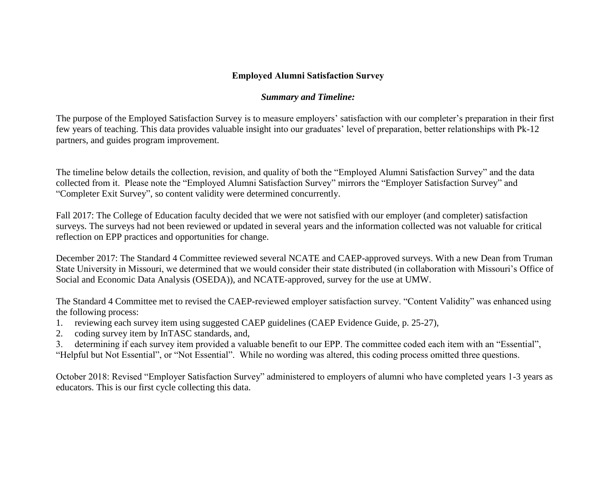## **Employed Alumni Satisfaction Survey**

## *Summary and Timeline:*

The purpose of the Employed Satisfaction Survey is to measure employers' satisfaction with our completer's preparation in their first few years of teaching. This data provides valuable insight into our graduates' level of preparation, better relationships with Pk-12 partners, and guides program improvement.

The timeline below details the collection, revision, and quality of both the "Employed Alumni Satisfaction Survey" and the data collected from it. Please note the "Employed Alumni Satisfaction Survey" mirrors the "Employer Satisfaction Survey" and "Completer Exit Survey", so content validity were determined concurrently.

Fall 2017: The College of Education faculty decided that we were not satisfied with our employer (and completer) satisfaction surveys. The surveys had not been reviewed or updated in several years and the information collected was not valuable for critical reflection on EPP practices and opportunities for change.

December 2017: The Standard 4 Committee reviewed several NCATE and CAEP-approved surveys. With a new Dean from Truman State University in Missouri, we determined that we would consider their state distributed (in collaboration with Missouri's Office of Social and Economic Data Analysis (OSEDA)), and NCATE-approved, survey for the use at UMW.

The Standard 4 Committee met to revised the CAEP-reviewed employer satisfaction survey. "Content Validity" was enhanced using the following process:

- 1. reviewing each survey item using suggested CAEP guidelines (CAEP Evidence Guide, p. 25-27),
- 2. coding survey item by InTASC standards, and,

3. determining if each survey item provided a valuable benefit to our EPP. The committee coded each item with an "Essential", "Helpful but Not Essential", or "Not Essential". While no wording was altered, this coding process omitted three questions.

October 2018: Revised "Employer Satisfaction Survey" administered to employers of alumni who have completed years 1-3 years as educators. This is our first cycle collecting this data.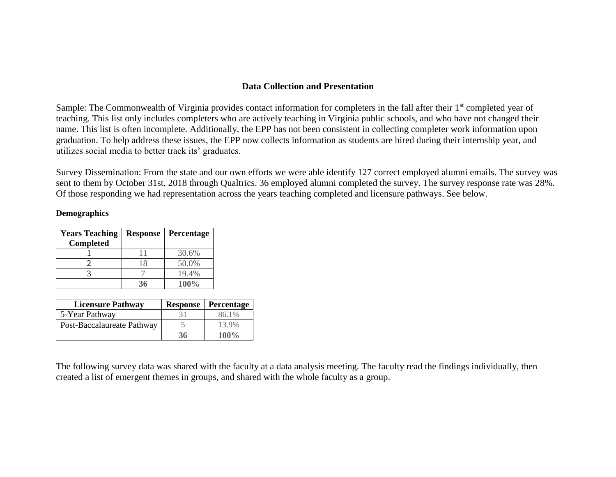## **Data Collection and Presentation**

Sample: The Commonwealth of Virginia provides contact information for completers in the fall after their 1<sup>st</sup> completed year of teaching. This list only includes completers who are actively teaching in Virginia public schools, and who have not changed their name. This list is often incomplete. Additionally, the EPP has not been consistent in collecting completer work information upon graduation. To help address these issues, the EPP now collects information as students are hired during their internship year, and utilizes social media to better track its' graduates.

Survey Dissemination: From the state and our own efforts we were able identify 127 correct employed alumni emails. The survey was sent to them by October 31st, 2018 through Qualtrics. 36 employed alumni completed the survey. The survey response rate was 28%. Of those responding we had representation across the years teaching completed and licensure pathways. See below.

## **Demographics**

| <b>Years Teaching</b><br><b>Completed</b> | <b>Response</b> | Percentage |
|-------------------------------------------|-----------------|------------|
|                                           |                 | 30.6%      |
|                                           | 18              | 50.0%      |
|                                           |                 | 19.4%      |
|                                           |                 | $100\%$    |

| <b>Licensure Pathway</b>   | <b>Response</b> | Percentage |
|----------------------------|-----------------|------------|
| 5-Year Pathway             |                 | 86.1%      |
| Post-Baccalaureate Pathway |                 | 13.9%      |
|                            |                 | $100\%$    |

The following survey data was shared with the faculty at a data analysis meeting. The faculty read the findings individually, then created a list of emergent themes in groups, and shared with the whole faculty as a group.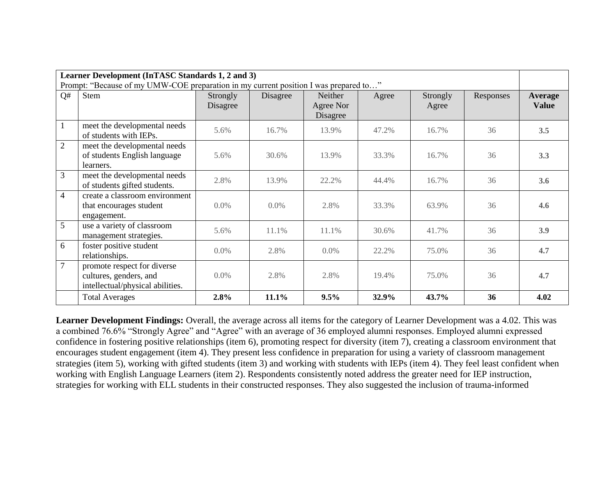| Learner Development (InTASC Standards 1, 2 and 3)<br>Prompt: "Because of my UMW-COE preparation in my current position I was prepared to" |                                                                                           |                      |          |                                  |       |                   |           |                                |
|-------------------------------------------------------------------------------------------------------------------------------------------|-------------------------------------------------------------------------------------------|----------------------|----------|----------------------------------|-------|-------------------|-----------|--------------------------------|
| Q#                                                                                                                                        | Stem                                                                                      | Strongly<br>Disagree | Disagree | Neither<br>Agree Nor<br>Disagree | Agree | Strongly<br>Agree | Responses | <b>Average</b><br><b>Value</b> |
| 1                                                                                                                                         | meet the developmental needs<br>of students with IEPs.                                    | 5.6%                 | 16.7%    | 13.9%                            | 47.2% | 16.7%             | 36        | 3.5                            |
| $\overline{2}$                                                                                                                            | meet the developmental needs<br>of students English language<br>learners.                 | 5.6%                 | 30.6%    | 13.9%                            | 33.3% | 16.7%             | 36        | 3.3                            |
| 3                                                                                                                                         | meet the developmental needs<br>of students gifted students.                              | 2.8%                 | 13.9%    | 22.2%                            | 44.4% | 16.7%             | 36        | 3.6                            |
| $\overline{4}$                                                                                                                            | create a classroom environment<br>that encourages student<br>engagement.                  | $0.0\%$              | $0.0\%$  | 2.8%                             | 33.3% | 63.9%             | 36        | 4.6                            |
| 5                                                                                                                                         | use a variety of classroom<br>management strategies.                                      | 5.6%                 | 11.1%    | 11.1%                            | 30.6% | 41.7%             | 36        | 3.9                            |
| 6                                                                                                                                         | foster positive student<br>relationships.                                                 | $0.0\%$              | 2.8%     | 0.0%                             | 22.2% | 75.0%             | 36        | 4.7                            |
| $\overline{7}$                                                                                                                            | promote respect for diverse<br>cultures, genders, and<br>intellectual/physical abilities. | $0.0\%$              | 2.8%     | 2.8%                             | 19.4% | 75.0%             | 36        | 4.7                            |
|                                                                                                                                           | <b>Total Averages</b>                                                                     | 2.8%                 | 11.1%    | 9.5%                             | 32.9% | 43.7%             | 36        | 4.02                           |

**Learner Development Findings:** Overall, the average across all items for the category of Learner Development was a 4.02. This was a combined 76.6% "Strongly Agree" and "Agree" with an average of 36 employed alumni responses. Employed alumni expressed confidence in fostering positive relationships (item 6), promoting respect for diversity (item 7), creating a classroom environment that encourages student engagement (item 4). They present less confidence in preparation for using a variety of classroom management strategies (item 5), working with gifted students (item 3) and working with students with IEPs (item 4). They feel least confident when working with English Language Learners (item 2). Respondents consistently noted address the greater need for IEP instruction, strategies for working with ELL students in their constructed responses. They also suggested the inclusion of trauma-informed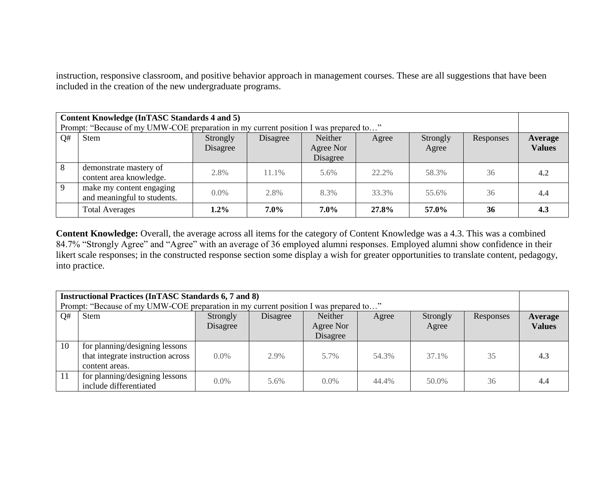instruction, responsive classroom, and positive behavior approach in management courses. These are all suggestions that have been included in the creation of the new undergraduate programs.

| Content Knowledge (InTASC Standards 4 and 5)<br>Prompt: "Because of my UMW-COE preparation in my current position I was prepared to" |                                                         |                      |          |                                  |       |                   |           |                          |
|--------------------------------------------------------------------------------------------------------------------------------------|---------------------------------------------------------|----------------------|----------|----------------------------------|-------|-------------------|-----------|--------------------------|
| Q#                                                                                                                                   | Stem                                                    | Strongly<br>Disagree | Disagree | Neither<br>Agree Nor<br>Disagree | Agree | Strongly<br>Agree | Responses | Average<br><b>Values</b> |
| 8                                                                                                                                    | demonstrate mastery of<br>content area knowledge.       | 2.8%                 | 11.1%    | 5.6%                             | 22.2% | 58.3%             | 36        | 4.2                      |
| 9                                                                                                                                    | make my content engaging<br>and meaningful to students. | $0.0\%$              | 2.8%     | 8.3%                             | 33.3% | 55.6%             | 36        | 4.4                      |
|                                                                                                                                      | <b>Total Averages</b>                                   | $1.2\%$              | $7.0\%$  | 7.0%                             | 27.8% | 57.0%             | 36        | 4.3                      |

Content Knowledge: Overall, the average across all items for the category of Content Knowledge was a 4.3. This was a combined 84.7% "Strongly Agree" and "Agree" with an average of 36 employed alumni responses. Employed alumni show confidence in their likert scale responses; in the constructed response section some display a wish for greater opportunities to translate content, pedagogy, into practice.

| <b>Instructional Practices (InTASC Standards 6, 7 and 8)</b><br>Prompt: "Because of my UMW-COE preparation in my current position I was prepared to" |                                                                                       |                      |          |                                  |       |                   |           |                          |
|------------------------------------------------------------------------------------------------------------------------------------------------------|---------------------------------------------------------------------------------------|----------------------|----------|----------------------------------|-------|-------------------|-----------|--------------------------|
| Q#                                                                                                                                                   | <b>Stem</b>                                                                           | Strongly<br>Disagree | Disagree | Neither<br>Agree Nor<br>Disagree | Agree | Strongly<br>Agree | Responses | Average<br><b>Values</b> |
| 10                                                                                                                                                   | for planning/designing lessons<br>that integrate instruction across<br>content areas. | $0.0\%$              | 2.9%     | 5.7%                             | 54.3% | 37.1%             | 35        | 4.3                      |
| -11                                                                                                                                                  | for planning/designing lessons<br>include differentiated                              | $0.0\%$              | 5.6%     | $0.0\%$                          | 44.4% | 50.0%             | 36        | 4.4                      |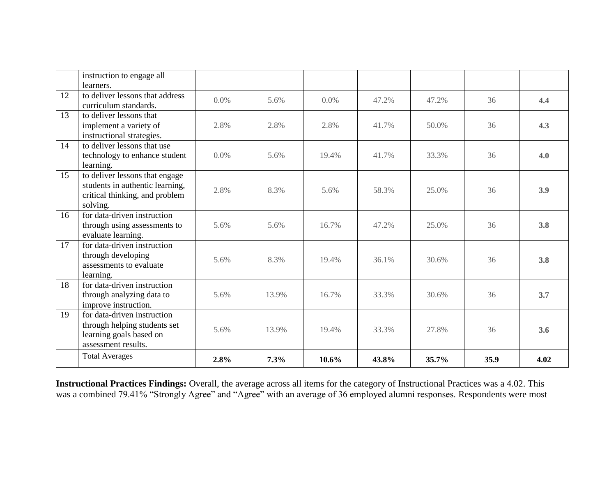|    | instruction to engage all       |      |       |       |       |          |      |      |
|----|---------------------------------|------|-------|-------|-------|----------|------|------|
|    | learners.                       |      |       |       |       |          |      |      |
| 12 | to deliver lessons that address | 0.0% | 5.6%  | 0.0%  | 47.2% | 47.2%    | 36   | 4.4  |
|    | curriculum standards.           |      |       |       |       |          |      |      |
| 13 | to deliver lessons that         |      |       |       |       |          |      |      |
|    | implement a variety of          | 2.8% | 2.8%  | 2.8%  | 41.7% | $50.0\%$ | 36   | 4.3  |
|    | instructional strategies.       |      |       |       |       |          |      |      |
| 14 | to deliver lessons that use     |      |       |       |       |          |      |      |
|    | technology to enhance student   | 0.0% | 5.6%  | 19.4% | 41.7% | 33.3%    | 36   | 4.0  |
|    | learning.                       |      |       |       |       |          |      |      |
| 15 | to deliver lessons that engage  |      |       |       |       |          |      |      |
|    | students in authentic learning, |      |       |       |       |          |      |      |
|    | critical thinking, and problem  | 2.8% | 8.3%  | 5.6%  | 58.3% | 25.0%    | 36   | 3.9  |
|    | solving.                        |      |       |       |       |          |      |      |
| 16 | for data-driven instruction     |      |       |       |       |          |      |      |
|    | through using assessments to    | 5.6% | 5.6%  | 16.7% | 47.2% | 25.0%    | 36   | 3.8  |
|    | evaluate learning.              |      |       |       |       |          |      |      |
| 17 | for data-driven instruction     |      |       |       |       |          |      |      |
|    | through developing              |      |       |       |       |          |      |      |
|    | assessments to evaluate         | 5.6% | 8.3%  | 19.4% | 36.1% | 30.6%    | 36   | 3.8  |
|    | learning.                       |      |       |       |       |          |      |      |
| 18 | for data-driven instruction     |      |       |       |       |          |      |      |
|    | through analyzing data to       | 5.6% | 13.9% | 16.7% | 33.3% | 30.6%    | 36   | 3.7  |
|    | improve instruction.            |      |       |       |       |          |      |      |
| 19 | for data-driven instruction     |      |       |       |       |          |      |      |
|    | through helping students set    |      |       |       |       |          |      |      |
|    | learning goals based on         | 5.6% | 13.9% | 19.4% | 33.3% | 27.8%    | 36   | 3.6  |
|    | assessment results.             |      |       |       |       |          |      |      |
|    | <b>Total Averages</b>           | 2.8% | 7.3%  | 10.6% | 43.8% | 35.7%    | 35.9 | 4.02 |

**Instructional Practices Findings:** Overall, the average across all items for the category of Instructional Practices was a 4.02. This was a combined 79.41% "Strongly Agree" and "Agree" with an average of 36 employed alumni responses. Respondents were most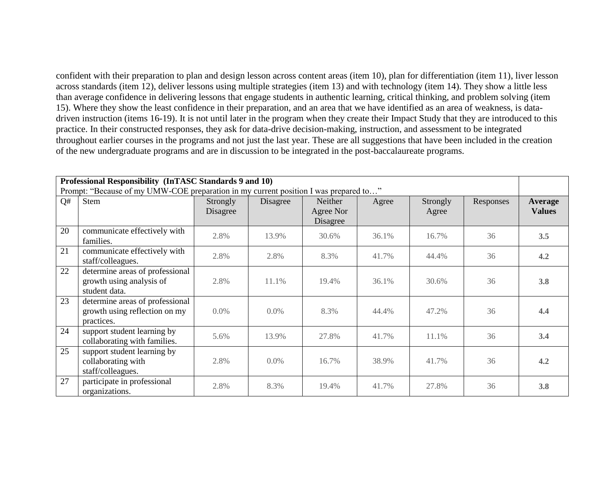confident with their preparation to plan and design lesson across content areas (item 10), plan for differentiation (item 11), liver lesson across standards (item 12), deliver lessons using multiple strategies (item 13) and with technology (item 14). They show a little less than average confidence in delivering lessons that engage students in authentic learning, critical thinking, and problem solving (item 15). Where they show the least confidence in their preparation, and an area that we have identified as an area of weakness, is datadriven instruction (items 16-19). It is not until later in the program when they create their Impact Study that they are introduced to this practice. In their constructed responses, they ask for data-drive decision-making, instruction, and assessment to be integrated throughout earlier courses in the programs and not just the last year. These are all suggestions that have been included in the creation of the new undergraduate programs and are in discussion to be integrated in the post-baccalaureate programs.

| Professional Responsibility (InTASC Standards 9 and 10)<br>Prompt: "Because of my UMW-COE preparation in my current position I was prepared to" |                                                                                |                      |          |                                  |       |                   |           |                                 |
|-------------------------------------------------------------------------------------------------------------------------------------------------|--------------------------------------------------------------------------------|----------------------|----------|----------------------------------|-------|-------------------|-----------|---------------------------------|
| Q#                                                                                                                                              | Stem                                                                           | Strongly<br>Disagree | Disagree | Neither<br>Agree Nor<br>Disagree | Agree | Strongly<br>Agree | Responses | <b>Average</b><br><b>Values</b> |
| 20                                                                                                                                              | communicate effectively with<br>families.                                      | 2.8%                 | 13.9%    | 30.6%                            | 36.1% | 16.7%             | 36        | 3.5                             |
| 21                                                                                                                                              | communicate effectively with<br>staff/colleagues.                              | 2.8%                 | 2.8%     | 8.3%                             | 41.7% | 44.4%             | 36        | 4.2                             |
| 22                                                                                                                                              | determine areas of professional<br>growth using analysis of<br>student data.   | 2.8%                 | 11.1%    | 19.4%                            | 36.1% | 30.6%             | 36        | 3.8                             |
| 23                                                                                                                                              | determine areas of professional<br>growth using reflection on my<br>practices. | 0.0%                 | $0.0\%$  | 8.3%                             | 44.4% | 47.2%             | 36        | 4.4                             |
| 24                                                                                                                                              | support student learning by<br>collaborating with families.                    | 5.6%                 | 13.9%    | 27.8%                            | 41.7% | 11.1%             | 36        | 3.4                             |
| 25                                                                                                                                              | support student learning by<br>collaborating with<br>staff/colleagues.         | 2.8%                 | $0.0\%$  | 16.7%                            | 38.9% | 41.7%             | 36        | 4.2                             |
| 27                                                                                                                                              | participate in professional<br>organizations.                                  | 2.8%                 | 8.3%     | 19.4%                            | 41.7% | 27.8%             | 36        | 3.8                             |